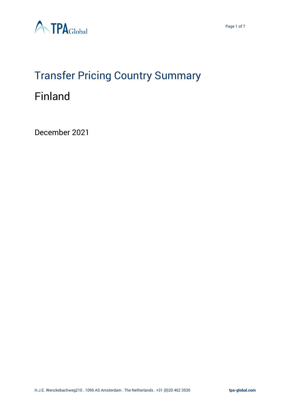

## Transfer Pricing Country Summary Finland

December 2021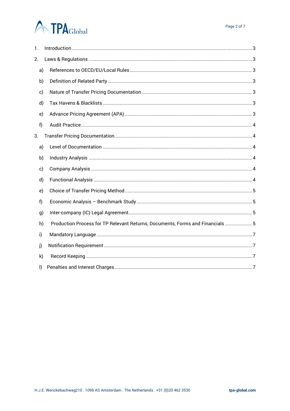# **ATPA**Global

| 1.           |                                                                                |
|--------------|--------------------------------------------------------------------------------|
| 2.           |                                                                                |
| a)           |                                                                                |
| b)           |                                                                                |
| c)           |                                                                                |
| d)           |                                                                                |
| e)           |                                                                                |
| f)           |                                                                                |
| 3.           |                                                                                |
| a)           |                                                                                |
| b)           |                                                                                |
| c)           |                                                                                |
| d)           |                                                                                |
| e)           |                                                                                |
| f)           |                                                                                |
| g)           |                                                                                |
| h)           | Production Process for TP Relevant Returns, Documents, Forms and Financials  5 |
| i)           |                                                                                |
| j)           |                                                                                |
| k)           |                                                                                |
| $\mathsf{I}$ |                                                                                |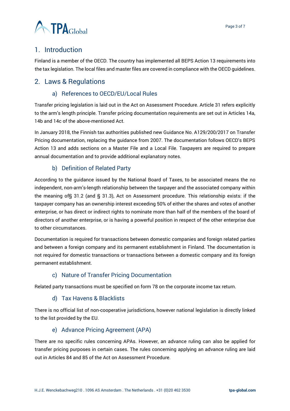

## <span id="page-2-0"></span>1. Introduction

Finland is a member of the OECD. The country has implemented all BEPS Action 13 requirements into the tax legislation. The local files and master files are covered in compliance with the OECD guidelines.

## <span id="page-2-2"></span><span id="page-2-1"></span>2. Laws & Regulations

#### a) References to OECD/EU/Local Rules

Transfer pricing legislation is laid out in the Act on Assessment Procedure. Article 31 refers explicitly to the arm's length principle. Transfer pricing documentation requirements are set out in Articles 14a, 14b and 14c of the above-mentioned Act.

In January 2018, the Finnish tax authorities published new Guidance No. A129/200/2017 on Transfer Pricing documentation, replacing the guidance from 2007. The documentation follows OECD's BEPS Action 13 and adds sections on a Master File and a Local File. Taxpayers are required to prepare annual documentation and to provide additional explanatory notes.

#### b) Definition of Related Party

<span id="page-2-3"></span>According to the guidance issued by the National Board of Taxes, to be associated means the no independent, non-arm's-length relationship between the taxpayer and the associated company within the meaning of§ 31.2 (and § 31.3), Act on Assessment procedure. This relationship exists: if the taxpayer company has an ownership interest exceeding 50% of either the shares and votes of another enterprise, or has direct or indirect rights to nominate more than half of the members of the board of directors of another enterprise, or is having a powerful position in respect of the other enterprise due to other circumstances.

Documentation is required for transactions between domestic companies and foreign related parties and between a foreign company and its permanent establishment in Finland. The documentation is not required for domestic transactions or transactions between a domestic company and its foreign permanent establishment.

#### c) Nature of Transfer Pricing Documentation

<span id="page-2-5"></span><span id="page-2-4"></span>Related party transactions must be specified on form 78 on the corporate income tax return.

#### d) Tax Havens & Blacklists

There is no official list of non-cooperative jurisdictions, however national legislation is directly linked to the list provided by the EU.

#### e) Advance Pricing Agreement (APA)

<span id="page-2-6"></span>There are no specific rules concerning APAs. However, an advance ruling can also be applied for transfer pricing purposes in certain cases. The rules concerning applying an advance ruling are laid out in Articles 84 and 85 of the Act on Assessment Procedure.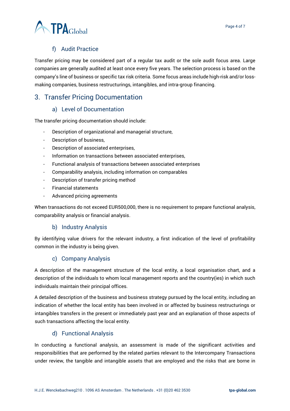



## f) Audit Practice

<span id="page-3-0"></span>Transfer pricing may be considered part of a regular tax audit or the sole audit focus area. Large companies are generally audited at least once every five years. The selection process is based on the company's line of business or specific tax risk criteria. Some focus areas include high-risk and/or lossmaking companies, business restructurings, intangibles, and intra-group financing.

## <span id="page-3-1"></span>3. Transfer Pricing Documentation

### a) Level of Documentation

<span id="page-3-2"></span>The transfer pricing documentation should include:

- Description of organizational and managerial structure,
- Description of business,
- Description of associated enterprises,
- Information on transactions between associated enterprises,
- Functional analysis of transactions between associated enterprises
- Comparability analysis, including information on comparables
- Description of transfer pricing method
- Financial statements
- Advanced pricing agreements

When transactions do not exceed EUR500,000, there is no requirement to prepare functional analysis, comparability analysis or financial analysis.

### b) Industry Analysis

<span id="page-3-3"></span>By identifying value drivers for the relevant industry, a first indication of the level of profitability common in the industry is being given.

### c) Company Analysis

<span id="page-3-4"></span>A description of the management structure of the local entity, a local organisation chart, and a description of the individuals to whom local management reports and the country(ies) in which such individuals maintain their principal offices.

A detailed description of the business and business strategy pursued by the local entity, including an indication of whether the local entity has been involved in or affected by business restructurings or intangibles transfers in the present or immediately past year and an explanation of those aspects of such transactions affecting the local entity.

### d) Functional Analysis

<span id="page-3-5"></span>In conducting a functional analysis, an assessment is made of the significant activities and responsibilities that are performed by the related parties relevant to the Intercompany Transactions under review, the tangible and intangible assets that are employed and the risks that are borne in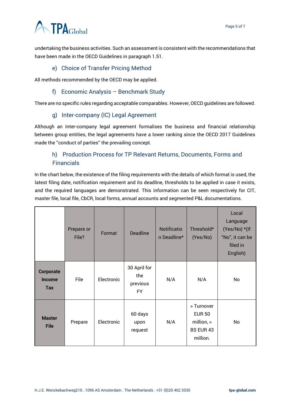## **ATPA**Global

undertaking the business activities. Such an assessment is consistent with the recommendations that have been made in the OECD Guidelines in paragraph 1.51.

#### e) Choice of Transfer Pricing Method

<span id="page-4-1"></span><span id="page-4-0"></span>All methods recommended by the OECD may be applied.

#### f) Economic Analysis – Benchmark Study

<span id="page-4-2"></span>There are no specific rules regarding acceptable comparables. However, OECD guidelines are followed.

#### g) Inter-company (IC) Legal Agreement

Although an Inter-company legal agreement formalises the business and financial relationship between group entities, the legal agreements have a lower ranking since the OECD 2017 Guidelines made the ''conduct of parties'' the prevailing concept.

## <span id="page-4-3"></span>h) Production Process for TP Relevant Returns, Documents, Forms and **Financials**

In the chart below, the existence of the filing requirements with the details of which format is used, the latest filing date, notification requirement and its deadline, thresholds to be applied in case it exists, and the required languages are demonstrated. This information can be seen respectively for CIT, master file, local file, CbCR, local forms, annual accounts and segmented P&L documentations.

|                                                 | Prepare or<br>File? | Format     | <b>Deadline</b>                              | Notificatio<br>n Deadline* | Threshold*<br>(Yes/No)                                               | Local<br>Language<br>(Yes/No) *(If<br>"No", it can be<br>filed in<br>English) |
|-------------------------------------------------|---------------------|------------|----------------------------------------------|----------------------------|----------------------------------------------------------------------|-------------------------------------------------------------------------------|
| <b>Corporate</b><br><b>Income</b><br><b>Tax</b> | File                | Electronic | 30 April for<br>the<br>previous<br><b>FY</b> | N/A                        | N/A                                                                  | No                                                                            |
| <b>Master</b><br><b>File</b>                    | Prepare             | Electronic | 60 days<br>upon<br>request                   | N/A                        | > Turnover<br><b>EUR 50</b><br>million, $>$<br>BS EUR 43<br>million. | No                                                                            |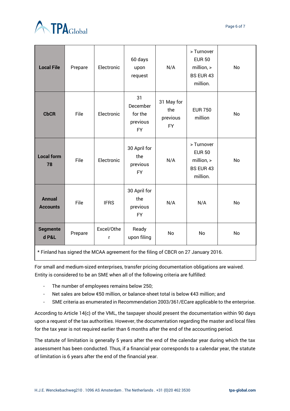



| <b>Local File</b>                | Prepare                                                        | Electronic      | 60 days<br>upon<br>request                                                      | N/A                                        | > Turnover<br><b>EUR 50</b><br>million, ><br><b>BS EUR 43</b><br>million. | No        |
|----------------------------------|----------------------------------------------------------------|-----------------|---------------------------------------------------------------------------------|--------------------------------------------|---------------------------------------------------------------------------|-----------|
| <b>CbCR</b>                      | File                                                           | Electronic      | 31<br>December<br>for the<br>previous<br><b>FY</b>                              | 31 May for<br>the<br>previous<br><b>FY</b> | <b>EUR 750</b><br>million                                                 | No        |
| <b>Local form</b><br>78          | File                                                           | Electronic      | 30 April for<br>the<br>previous<br><b>FY</b>                                    | N/A                                        | > Turnover<br><b>EUR 50</b><br>million, ><br><b>BS EUR 43</b><br>million. | No        |
| <b>Annual</b><br><b>Accounts</b> | File                                                           | <b>IFRS</b>     | 30 April for<br>the<br>previous<br><b>FY</b>                                    | N/A                                        | N/A                                                                       | <b>No</b> |
| <b>Segmente</b><br>d P&L         | Prepare<br>$\mathbf{r} = \mathbf{r} + \mathbf{r} + \mathbf{r}$ | Excel/Othe<br>r | Ready<br>upon filing<br>$\mathbf{r} = \mathbf{r}$ and $\mathbf{r} = \mathbf{r}$ | No<br>5.0000                               | No<br>$\sim$ $\sim$ $\sim$<br>$\sim$ $\sim$                               | <b>No</b> |

\* Finland has signed the MCAA agreement for the filing of CBCR on 27 January 2016.

For small and medium-sized enterprises, transfer pricing documentation obligations are waived. Entity is considered to be an SME when all of the following criteria are fulfilled:

- The number of employees remains below 250;
- Net sales are below €50 million, or balance-sheet total is below €43 million; and
- SME criteria as enumerated in Recommendation 2003/361/ECare applicable to the enterprise.

According to Article 14(c) of the VML, the taxpayer should present the documentation within 90 days upon a request of the tax authorities. However, the documentation regarding the master and local files for the tax year is not required earlier than 6 months after the end of the accounting period.

The statute of limitation is generally 5 years after the end of the calendar year during which the tax assessment has been conducted. Thus, if a financial year corresponds to a calendar year, the statute of limitation is 6 years after the end of the financial year.